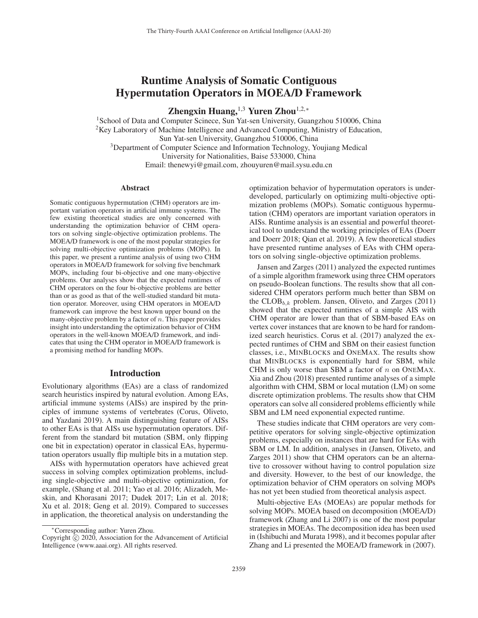# Runtime Analysis of Somatic Contiguous Hypermutation Operators in MOEA/D Framework

Zhengxin Huang, <sup>1,3</sup> Yuren Zhou<sup>1,2,\*</sup>

<sup>1</sup>School of Data and Computer Scinece, Sun Yat-sen University, Guangzhou 510006, China  $2$ Key Laboratory of Machine Intelligence and Advanced Computing, Ministry of Education, Sun Yat-sen University, Guangzhou 510006, China 3Department of Computer Science and Information Technology, Youjiang Medical University for Nationalities, Baise 533000, China Email: thenewyi@gmail.com, zhouyuren@mail.sysu.edu.cn

# **Abstract**

Somatic contiguous hypermutation (CHM) operators are important variation operators in artificial immune systems. The few existing theoretical studies are only concerned with understanding the optimization behavior of CHM operators on solving single-objective optimization problems. The MOEA/D framework is one of the most popular strategies for solving multi-objective optimization problems (MOPs). In this paper, we present a runtime analysis of using two CHM operators in MOEA/D framework for solving five benchmark MOPs, including four bi-objective and one many-objective problems. Our analyses show that the expected runtimes of CHM operators on the four bi-objective problems are better than or as good as that of the well-studied standard bit mutation operator. Moreover, using CHM operators in MOEA/D framework can improve the best known upper bound on the many-objective problem by a factor of  $n$ . This paper provides insight into understanding the optimization behavior of CHM operators in the well-known MOEA/D framework, and indicates that using the CHM operator in MOEA/D framework is a promising method for handling MOPs.

#### Introduction

Evolutionary algorithms (EAs) are a class of randomized search heuristics inspired by natural evolution. Among EAs, artificial immune systems (AISs) are inspired by the principles of immune systems of vertebrates (Corus, Oliveto, and Yazdani 2019). A main distinguishing feature of AISs to other EAs is that AISs use hypermutation operators. Different from the standard bit mutation (SBM, only flipping one bit in expectation) operator in classical EAs, hypermutation operators usually flip multiple bits in a mutation step.

AISs with hypermutation operators have achieved great success in solving complex optimization problems, including single-objective and multi-objective optimization, for example, (Shang et al. 2011; Yao et al. 2016; Alizadeh, Meskin, and Khorasani 2017; Dudek 2017; Lin et al. 2018; Xu et al. 2018; Geng et al. 2019). Compared to successes in application, the theoretical analysis on understanding the

optimization behavior of hypermutation operators is underdeveloped, particularly on optimizing multi-objective optimization problems (MOPs). Somatic contiguous hypermutation (CHM) operators are important variation operators in AISs. Runtime analysis is an essential and powerful theoretical tool to understand the working principles of EAs (Doerr and Doerr 2018; Qian et al. 2019). A few theoretical studies have presented runtime analyses of EAs with CHM operators on solving single-objective optimization problems.

Jansen and Zarges (2011) analyzed the expected runtimes of a simple algorithm framework using three CHM operators on pseudo-Boolean functions. The results show that all considered CHM operators perform much better than SBM on the  $CLOB_{b,k}$  problem. Jansen, Oliveto, and Zarges (2011) showed that the expected runtimes of a simple AIS with CHM operator are lower than that of SBM-based EAs on vertex cover instances that are known to be hard for randomized search heuristics. Corus et al. (2017) analyzed the expected runtimes of CHM and SBM on their easiest function classes, i.e., MINBLOCKS and ONEMAX. The results show that MINBLOCKS is exponentially hard for SBM, while CHM is only worse than SBM a factor of  $n$  on ONEMAX. Xia and Zhou (2018) presented runtime analyses of a simple algorithm with CHM, SBM or local mutation (LM) on some discrete optimization problems. The results show that CHM operators can solve all considered problems efficiently while SBM and LM need exponential expected runtime.

These studies indicate that CHM operators are very competitive operators for solving single-objective optimization problems, especially on instances that are hard for EAs with SBM or LM. In addition, analyses in (Jansen, Oliveto, and Zarges 2011) show that CHM operators can be an alternative to crossover without having to control population size and diversity. However, to the best of our knowledge, the optimization behavior of CHM operators on solving MOPs has not yet been studied from theoretical analysis aspect.

Multi-objective EAs (MOEAs) are popular methods for solving MOPs. MOEA based on decomposition (MOEA/D) framework (Zhang and Li 2007) is one of the most popular strategies in MOEAs. The decomposition idea has been used in (Ishibuchi and Murata 1998), and it becomes popular after Zhang and Li presented the MOEA/D framework in (2007).

<sup>∗</sup>Corresponding author: Yuren Zhou.

Copyright  $\odot$  2020, Association for the Advancement of Artificial Intelligence (www.aaai.org). All rights reserved.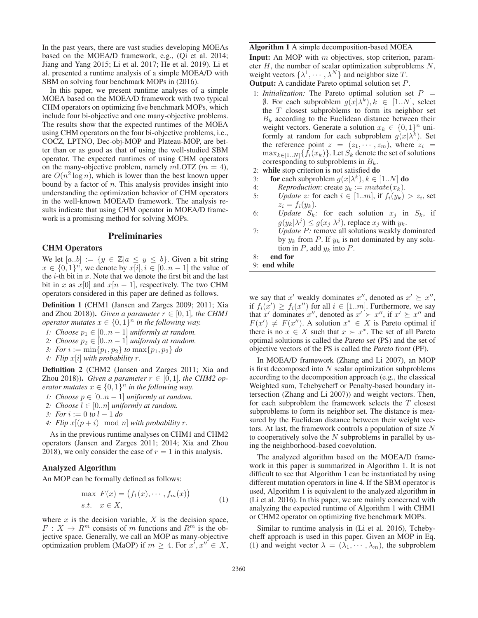In the past years, there are vast studies developing MOEAs based on the MOEA/D framework, e.g., (Qi et al. 2014; Jiang and Yang 2015; Li et al. 2017; He et al. 2019). Li et al. presented a runtime analysis of a simple MOEA/D with SBM on solving four benchmark MOPs in (2016).

In this paper, we present runtime analyses of a simple MOEA based on the MOEA/D framework with two typical CHM operators on optimizing five benchmark MOPs, which include four bi-objective and one many-objective problems. The results show that the expected runtimes of the MOEA using CHM operators on the four bi-objective problems, i.e., COCZ, LPTNO, Dec-obj-MOP and Plateau-MOP, are better than or as good as that of using the well-studied SBM operator. The expected runtimes of using CHM operators on the many-objective problem, namely  $m$ LOTZ ( $m = 4$ ), are  $O(n^2 \log n)$ , which is lower than the best known upper bound by a factor of  $n$ . This analysis provides insight into understanding the optimization behavior of CHM operators in the well-known MOEA/D framework. The analysis results indicate that using CHM operator in MOEA/D framework is a promising method for solving MOPs.

# Preliminaries

# CHM Operators

We let  $[a,b] := \{y \in \mathbb{Z} | a \leq y \leq b\}$ . Given a bit string  $x \in \{0,1\}^n$ , we denote by  $x[i], i \in [0..n-1]$  the value of the  $i$ -th bit in  $x$ . Note that we denote the first bit and the last bit in x as  $x[0]$  and  $x[n-1]$ , respectively. The two CHM operators considered in this paper are defined as follows.

Definition 1 (CHM1 (Jansen and Zarges 2009; 2011; Xia and Zhou 2018)). *Given a parameter*  $r \in [0, 1]$ *, the CHM1 operator mutates*  $x \in \{0,1\}^n$  *in the following way.* 

*1: Choose*  $p_1 \in [0..n-1]$  *uniformly at random.* 

2: *Choose*  $p_2 \in [0..n-1]$  *uniformly at random.* 

*3: For*  $i := \min\{p_1, p_2\}$  *to*  $\max\{p_1, p_2\}$  *do* 

*4: Flip* x[i] *with probability* r*.*

Definition 2 (CHM2 (Jansen and Zarges 2011; Xia and Zhou 2018)). *Given a parameter*  $r \in [0, 1]$ *, the CHM2 operator mutates*  $x \in \{0,1\}^n$  *in the following way.* 

- *1: Choose*  $p \in [0..n-1]$  *uniformly at random.*
- 2: *Choose*  $l \in [0..n]$  *uniformly at random.*

*3: For* i := 0 to l − 1 *do*

4: Flip  $x[(p + i) \mod n]$  *with probability* r.

As in the previous runtime analyses on CHM1 and CHM2 operators (Jansen and Zarges 2011; 2014; Xia and Zhou 2018), we only consider the case of  $r = 1$  in this analysis.

# Analyzed Algorithm

An MOP can be formally defined as follows:

$$
\max F(x) = (f_1(x), \cdots, f_m(x))
$$
  
s.t.  $x \in X$ , (1)

where  $x$  is the decision variable,  $X$  is the decision space,  $F: X \to R^m$  consists of m functions and  $R^m$  is the objective space. Generally, we call an MOP as many-objective optimization problem (MaOP) if  $m \geq 4$ . For  $x', x'' \in X$ ,

#### Algorithm 1 A simple decomposition-based MOEA

**Input:** An MOP with  $m$  objectives, stop criterion, parameter  $H$ , the number of scalar optimization subproblems  $N$ , weight vectors  $\{\lambda^1, \dots, \lambda^N\}$  and neighbor size T. Output: A candidate Pareto optimal solution set P.

- 
- 1: *Initialization:* The Pareto optimal solution set  $P =$  $\emptyset$ . For each subproblem  $g(x|\lambda^k), k \in [1..N]$ , select the  $T$  closest subproblems to form its neighbor set  $B_k$  according to the Euclidean distance between their weight vectors. Generate a solution  $x_k \in \{0,1\}^n$  uniformly at random for each subproblem  $g(x|\lambda^k)$ . Set the reference point  $z = (z_1, \dots, z_m)$ , where  $z_i =$  $\max_{k \in [1..N]} \{f_i(x_k)\}\.$  Let  $S_k$  denote the set of solutions corresponding to subproblems in  $B_k$ .
- 2: while stop criterion is not satisfied do
- 3: **for** each subproblem  $q(x|\lambda^k)$ ,  $k \in [1..N]$  **do**
- 4: *Reproduction*: create  $y_k := mutate(x_k)$ .
- 5: *Update z:* for each  $i \in [1..m]$ , if  $f_i(y_k) > z_i$ , set  $z_i = f_i(y_k).$
- 6: *Update*  $S_k$ : for each solution  $x_j$  in  $S_k$ , if  $g(y_k|\lambda^j) \leq g(x_j|\lambda^j)$ , replace  $x_j$  with  $y_k$ .
- 7: *Update* P*:* remove all solutions weakly dominated by  $y_k$  from P. If  $y_k$  is not dominated by any solution in  $P$ , add  $y_k$  into  $P$ .

8: end for

9: end while

we say that x' weakly dominates x'', denoted as  $x' \succeq x''$ , if  $f_i(x') \ge f_i(x'')$  for all  $i \in [1..m]$ . Furthermore, we say that x' dominates x'', denoted as  $x' > x''$ , if  $x' \geq x''$  and  $F(x') \neq F(x'')$ . A solution  $x^* \in X$  is Pareto optimal if there is no  $x \in X$  such that  $x \succ x^*$ . The set of all Pareto optimal solutions is called the Pareto set (PS) and the set of objective vectors of the PS is called the Pareto front (PF).

In MOEA/D framework (Zhang and Li 2007), an MOP is first decomposed into  $N$  scalar optimization subproblems according to the decomposition approach (e.g., the classical Weighted sum, Tchebycheff or Penalty-based boundary intersection (Zhang and Li 2007)) and weight vectors. Then, for each subproblem the framework selects the  $T$  closest subproblems to form its neighbor set. The distance is measured by the Euclidean distance between their weight vectors. At last, the framework controls a population of size  $N$ to cooperatively solve the  $N$  subproblems in parallel by using the neighborhood-based coevolution.

The analyzed algorithm based on the MOEA/D framework in this paper is summarized in Algorithm 1. It is not difficult to see that Algorithm 1 can be instantiated by using different mutation operators in line 4. If the SBM operator is used, Algorithm 1 is equivalent to the analyzed algorithm in (Li et al. 2016). In this paper, we are mainly concerned with analyzing the expected runtime of Algorithm 1 with CHM1 or CHM2 operator on optimizing five benchmark MOPs.

Similar to runtime analysis in (Li et al. 2016), Tchebycheff approach is used in this paper. Given an MOP in Eq. (1) and weight vector  $\lambda = (\lambda_1, \dots, \lambda_m)$ , the subproblem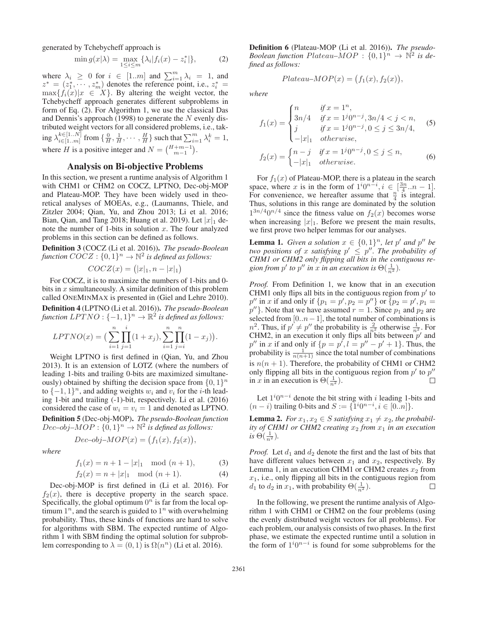generated by Tchebycheff approach is

$$
\min g(x|\lambda) = \max_{1 \le i \le m} \{\lambda_i | f_i(x) - z_i^*| \},\tag{2}
$$

where  $\lambda_i \geq 0$  for  $i \in [1..m]$  and  $\sum_{i=1}^{m} \lambda_i = 1$ , and  $z^* = (z_1^*, \dots, z_m^*)$  denotes the reference point, i.e.,  $z_i^* =$  $\max\{f_i(x)|x \in X\}$ . By altering the weight vector, the Tchebycheff approach generates different subproblems in form of Eq. (2). For Algorithm 1, we use the classical Das and Dennis's approach (1998) to generate the  $N$  evenly distributed weight vectors for all considered problems, i.e., taking  $\lambda_{i\in [1..m]}^{k\in [1..N]}$  from  $\{\frac{0}{H},\frac{1}{H},\cdots,\frac{H}{H}\}$  such that  $\sum_{i=1}^{m} \lambda_i^k = 1$ , where *H* is a positive integer and  $N = \binom{H+m-1}{m-1}$ .

# Analysis on Bi-objective Problems

In this section, we present a runtime analysis of Algorithm 1 with CHM1 or CHM2 on COCZ, LPTNO, Dec-obj-MOP and Plateau-MOP. They have been widely used in theoretical analyses of MOEAs, e.g., (Laumanns, Thiele, and Zitzler 2004; Qian, Yu, and Zhou 2013; Li et al. 2016; Bian, Qian, and Tang 2018; Huang et al. 2019). Let  $|x|_1$  denote the number of 1-bits in solution  $x$ . The four analyzed problems in this section can be defined as follows.

Definition 3 (COCZ (Li et al. 2016)). *The pseudo-Boolean function*  $COCZ : \{0,1\}^n \to \mathbb{N}^2$  *is defined as follows:* 

$$
COCZ(x) = (|x|_1, n - |x|_1)
$$

For COCZ, it is to maximize the numbers of 1-bits and 0 bits in  $x$  simultaneously. A similar definition of this problem called ONEMINMAX is presented in (Giel and Lehre 2010). Definition 4 (LPTNO (Li et al. 2016)). *The pseudo-Boolean*

*function*  $LPTNO : {-1,1}^n \rightarrow \mathbb{R}^2$  *is defined as follows:* 

$$
LPTNO(x) = \left(\sum_{i=1}^{n} \prod_{j=1}^{i} (1 + x_j), \sum_{i=1}^{n} \prod_{j=i}^{n} (1 - x_j)\right).
$$

Weight LPTNO is first defined in (Qian, Yu, and Zhou 2013). It is an extension of LOTZ (where the numbers of leading 1-bits and trailing 0-bits are maximized simultaneously) obtained by shifting the decision space from  $\{0, 1\}^n$ to  $\{-1, 1\}^n$ , and adding weights  $w_i$  and  $v_i$  for the *i*-th leading 1-bit and trailing (-1)-bit, respectively. Li et al. (2016) considered the case of  $w_i = v_i = 1$  and denoted as LPTNO. Definition 5 (Dec-obj-MOP). *The pseudo-Boolean function*

 $Dec-obj-MOP: \{0,1\}^n \to \mathbb{N}^2$  *is defined as follows:* 

$$
Dec-obj-MOP(x) = (f_1(x), f_2(x)),
$$

*where*

$$
f_1(x) = n + 1 - |x|_1 \mod (n+1), \tag{3}
$$

$$
f_2(x) = n + |x|_1 \mod (n+1).
$$
 (4)

Dec-obj-MOP is first defined in (Li et al. 2016). For  $f_2(x)$ , there is deceptive property in the search space. Specifically, the global optimum  $0^n$  is far from the local optimum  $1^n$ , and the search is guided to  $1^n$  with overwhelming probability. Thus, these kinds of functions are hard to solve for algorithms with SBM. The expected runtime of Algorithm 1 with SBM finding the optimal solution for subproblem corresponding to  $\lambda = (0, 1)$  is  $\Omega(n^n)$  (Li et al. 2016).

Definition 6 (Plateau-MOP (Li et al. 2016)). *The pseudo-Boolean function Plateau–MOP* :  $\{0,1\}^n \rightarrow \mathbb{N}^2$  *is defined as follows:*

$$
Plateau-MOP(x) = (f_1(x), f_2(x)),
$$

*where*

$$
f_1(x) = \begin{cases} n & \text{if } x = 1^n, \\ 3n/4 & \text{if } x = 1^j 0^{n-j}, 3n/4 < j < n, \\ j & \text{if } x = 1^j 0^{n-j}, 0 \le j \le 3n/4, \\ -|x|_1 & otherwise, \end{cases}
$$
(5)  

$$
f_2(x) = \begin{cases} n-j & \text{if } x = 1^j 0^{n-j}, 0 \le j \le n, \\ -|x|_1 & otherwise. \end{cases}
$$
(6)

For  $f_1(x)$  of Plateau-MOP, there is a plateau in the search space, where x is in the form of  $1^i 0^{n-i}$ ,  $i \in \left[\frac{3n}{4} \ldots n-1\right]$ . For convenience, we hereafter assume that  $\frac{n}{4}$  is integral. Thus, solutions in this range are dominated by the solution  $1^{3n/4}0^{n/4}$  since the fitness value on  $f_2(x)$  becomes worse when increasing  $|x|_1$ . Before we present the main results, we first prove two helper lemmas for our analyses.

**Lemma 1.** *Given a solution*  $x \in \{0,1\}^n$ *, let*  $p'$  *and*  $p''$  *be two positions of x satisfying*  $p' \leq p''$ . The probability of *CHM1 or CHM2 only flipping all bits in the contiguous re*gion from  $p'$  to  $p''$  in x in an execution is  $\Theta(\frac{1}{n^2})$ .

*Proof.* From Definition 1, we know that in an execution CHM1 only flips all bits in the contiguous region from  $p'$  to  $p''$  in x if and only if  $\{p_1 = p', p_2 = p''\}$  or  $\{p_2 = p', p_1 = 1\}$  $p''$ }. Note that we have assumed  $r = 1$ . Since  $p_1$  and  $p_2$  are selected from [0.. $n-1$ ], the total number of combinations is  $n^2$ . Thus, if  $p' \neq p''$  the probability is  $\frac{2}{n^2}$  otherwise  $\frac{1}{n^2}$ . For CHM2, in an execution it only flips all bits between  $p'$  and  $p''$  in x if and only if  $\{p = p', l = p'' - p' + 1\}$ . Thus, the probability is  $\frac{1}{n(n+1)}$  since the total number of combinations is  $n(n + 1)$ . Therefore, the probability of CHM1 or CHM2 only flipping all bits in the contiguous region from  $p'$  to  $p''$ in x in an execution is  $\Theta(\frac{1}{n^2})$ .  $\Box$ 

Let  $1^{i}0^{n-i}$  denote the bit string with i leading 1-bits and  $(n - i)$  trailing 0-bits and  $S := \{1^i 0^{n-i}, i \in [0..n]\}.$ 

**Lemma 2.** *For*  $x_1, x_2 \in S$  *satisfying*  $x_1 \neq x_2$ *, the probability of CHM1 or CHM2 creating*  $x_2$  *from*  $x_1$  *in an execution*  $is \Theta(\frac{1}{n^2}).$ 

*Proof.* Let  $d_1$  and  $d_2$  denote the first and the last of bits that have different values between  $x_1$  and  $x_2$ , respectively. By Lemma 1, in an execution CHM1 or CHM2 creates  $x_2$  from  $x_1$ , i.e., only flipping all bits in the contiguous region from  $d_1$  to  $d_2$  in  $x_1$ , with probability  $\Theta(\frac{1}{n^2})$ .  $\Box$ 

In the following, we present the runtime analysis of Algorithm 1 with CHM1 or CHM2 on the four problems (using the evenly distributed weight vectors for all problems). For each problem, our analysis consists of two phases. In the first phase, we estimate the expected runtime until a solution in the form of  $1^i 0^{n-i}$  is found for some subproblems for the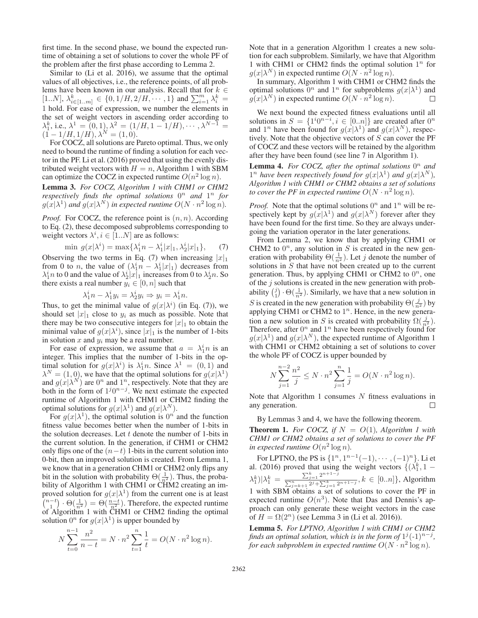first time. In the second phase, we bound the expected runtime of obtaining a set of solutions to cover the whole PF of the problem after the first phase according to Lemma 2.

Similar to (Li et al. 2016), we assume that the optimal values of all objectives, i.e., the reference points, of all problems have been known in our analysis. Recall that for  $k \in$ [1..*N*],  $\lambda_{i \in [1..m]}^k \in \{0, 1/H, 2/H, \cdots, 1\}$  and  $\sum_{i=1}^m \lambda_i^k =$ 1 hold. For ease of expression, we number the elements in the set of weight vectors in ascending order according to  $\lambda_1^k$ , i.e.,  $\lambda^1 = (0, 1), \lambda^2 = (1/H, 1 - 1/H), \cdots, \lambda^{N-1} =$  $(1 - 1/H, 1/H), \lambda^N = (1, 0).$ 

For COCZ, all solutions are Pareto optimal. Thus, we only need to bound the runtime of finding a solution for each vector in the PF. Li et al. (2016) proved that using the evenly distributed weight vectors with  $H = n$ , Algorithm 1 with SBM can optimize the COCZ in expected runtime  $O(n^2 \log n)$ .

Lemma 3. *For COCZ, Algorithm 1 with CHM1 or CHM2 respectively finds the optimal solutions*  $0^n$  *and*  $1^n$  *for*  $g(x|\lambda^1)$  *and*  $g(x|\lambda^N)$  *in expected runtime*  $O(N \cdot n^2 \log n)$ *.* 

*Proof.* For COCZ, the reference point is  $(n, n)$ . According to Eq. (2), these decomposed subproblems corresponding to weight vectors  $\lambda^i, i \in [1..N]$  are as follows:

$$
\min g(x|\lambda^{i}) = \max\{\lambda_{1}^{i}n - \lambda_{1}^{i}|x|_{1}, \lambda_{2}^{i}|x|_{1}\},\qquad(7)
$$

Observing the two terms in Eq. (7) when increasing  $|x|_1$ from 0 to *n*, the value of  $(\lambda_1^i n - \lambda_1^i |x|_1)$  decreases from  $\lambda_1^i n$  to 0 and the value of  $\lambda_2^i |x|_1$  increases from 0 to  $\lambda_2^i n$ . So there exists a real number  $y_i \in [0, n]$  such that

$$
\lambda_1^i n - \lambda_1^i y_i = \lambda_2^i y_i \Rightarrow y_i = \lambda_1^i n.
$$

Thus, to get the minimal value of  $g(x|\lambda^i)$  (in Eq. (7)), we should set  $|x|_1$  close to  $y_i$  as much as possible. Note that there may be two consecutive integers for  $|x|_1$  to obtain the minimal value of  $g(x|\lambda^i)$ , since  $|x|_1$  is the number of 1-bits in solution  $x$  and  $y_i$  may be a real number.

For ease of expression, we assume that  $a = \lambda_1^i n$  is an integer. This implies that the number of 1-bits in the optimal solution for  $g(x|\lambda^i)$  is  $\lambda_1^i n$ . Since  $\lambda^1 = (0, 1)$  and  $\lambda^N = (1, 0)$ , we have that the optimal solutions for  $g(x|\lambda^1)$ and  $g(x|\lambda^N)$  are  $0^n$  and  $1^n$ , respectively. Note that they are both in the form of  $1^j0^{n-j}$ . We next estimate the expected runtime of Algorithm 1 with CHM1 or CHM2 finding the optimal solutions for  $g(x|\lambda^1)$  and  $g(x|\lambda^N)$ .

For  $g(x|\lambda^1)$ , the optimal solution is  $0^n$  and the function fitness value becomes better when the number of 1-bits in the solution decreases. Let  $t$  denote the number of 1-bits in the current solution. In the generation, if CHM1 or CHM2 only flips one of the  $(n-t)$  1-bits in the current solution into 0-bit, then an improved solution is created. From Lemma 1, we know that in a generation CHM1 or CHM2 only flips any bit in the solution with probability  $\Theta(\frac{1}{n^2})$ . Thus, the probability of Algorithm 1 with CHM1 or CHM2 creating an improved solution for  $g(x|\lambda^1)$  from the current one is at least  $\binom{n-t}{1} \cdot \Theta(\frac{1}{n^2}) = \Theta(\frac{n-t}{n^2})$ . Therefore, the expected runtime of Algorithm 1 with CHM1 or CHM2 finding the optimal solution  $0^n$  for  $g(x|\lambda^1)$  is upper bounded by

$$
N\sum_{t=0}^{n-1} \frac{n^2}{n-t} = N \cdot n^2 \sum_{t=1}^{n} \frac{1}{t} = O(N \cdot n^2 \log n).
$$

Note that in a generation Algorithm 1 creates a new solution for each subproblem. Similarly, we have that Algorithm 1 with CHM1 or CHM2 finds the optimal solution  $1^n$  for  $g(x|\lambda^N)$  in expected runtime  $O(N \cdot n^2 \log n)$ .

In summary, Algorithm 1 with CHM1 or CHM2 finds the optimal solutions  $0^n$  and  $1^n$  for subproblems  $g(x|\lambda^1)$  and  $g(x|\lambda^N)$  in expected runtime  $O(N \cdot n^2 \log n)$ . П

We next bound the expected fitness evaluations until all solutions in  $S = \{1^i 0^{n-i}, i \in [0..n]\}$  are created after  $0^n$ and  $1^n$  have been found for  $g(x|\lambda^1)$  and  $g(x|\lambda^N)$ , respectively. Note that the objective vectors of  $S$  can cover the PF of COCZ and these vectors will be retained by the algorithm after they have been found (see line 7 in Algorithm 1).

**Lemma 4.** For COCZ, after the optimal solutions  $0^n$  and 1<sup>n</sup> have been respectively found for  $g(x|\lambda^1)$  and  $g(x|\lambda^N)$ , *Algorithm 1 with CHM1 or CHM2 obtains a set of solutions to cover the PF in expected runtime*  $O(N \cdot n^2 \log n)$ .

*Proof.* Note that the optimal solutions  $0^n$  and  $1^n$  will be respectively kept by  $g(x|\lambda^1)$  and  $g(x|\lambda^N)$  forever after they have been found for the first time. So they are always undergoing the variation operator in the later generations.

From Lemma 2, we know that by applying CHM1 or CHM2 to  $0<sup>n</sup>$ , any solution in S is created in the new generation with probability  $\Theta(\frac{1}{n^2})$ . Let j denote the number of solutions in  $S$  that have not been created up to the current generation. Thus, by applying CHM1 or CHM2 to  $0^n$ , one of the  $j$  solutions is created in the new generation with probability  $\binom{j}{1} \cdot \Theta(\frac{1}{n^2})$ . Similarly, we have that a new solution in S is created in the new generation with probability  $\Theta(\frac{j}{n^2})$  by applying CHM1 or CHM2 to  $1<sup>n</sup>$ . Hence, in the new generation a new solution in S is created with probability  $\Omega(\frac{j}{n^2})$ . Therefore, after  $0^n$  and  $1^n$  have been respectively found for  $g(x|\lambda^1)$  and  $g(x|\lambda^N)$ , the expected runtime of Algorithm 1 with CHM1 or CHM2 obtaining a set of solutions to cover the whole PF of COCZ is upper bounded by

$$
N\sum_{j=1}^{n-2}\frac{n^2}{j} \le N \cdot n^2 \sum_{j=1}^{n} \frac{1}{j} = O(N \cdot n^2 \log n).
$$

Note that Algorithm 1 consumes  $N$  fitness evaluations in any generation.  $\Box$ 

By Lemmas 3 and 4, we have the following theorem.

**Theorem 1.** *For COCZ, if*  $N = O(1)$ *, Algorithm 1 with CHM1 or CHM2 obtains a set of solutions to cover the PF in expected runtime*  $O(n^2 \log n)$ *.* 

For LPTNO, the PS is  $\{1^n, 1^{n-1}(-1), \cdots, (-1)^n\}$ . Li et al. (2016) proved that using the weight vectors  $\{(\lambda_1^k, 1 - \lambda_2^k)\}$  $\lambda_1^k$   $\big)$   $\big| \lambda_1^k = \frac{\sum_{j=1}^k 2^{n+1-j}}{\sum_{j=1}^n \sum_{j=1}^k \sum_{j=1}^k 2^{n+j}}$  $\frac{\sum_{j=1}^{n} z_j}{\sum_{j=k+1}^{n} 2^j + \sum_{j=1}^{k} 2^{n+1-j}}, k ∈ [0..n],$  Algorithm 1 with SBM obtains a set of solutions to cover the PF in expected runtime  $O(n^3)$ . Note that Das and Dennis's approach can only generate these weight vectors in the case of  $H = \Omega(2^n)$  (see Lemma 3 in (Li et al. 2016)).

Lemma 5. *For LPTNO, Algorithm 1 with CHM1 or CHM2 finds an optimal solution, which is in the form of*  $1^j(-1)^{n-j}$ *, for each subproblem in expected runtime*  $O(N \cdot n^2 \log n)$ *.*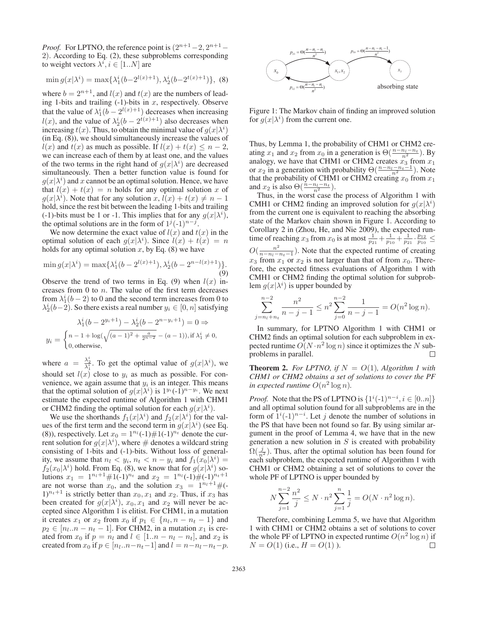*Proof.* For LPTNO, the reference point is  $(2^{n+1}-2, 2^{n+1}-1)$ 2). According to Eq. (2), these subproblems corresponding to weight vectors  $\lambda^i, i \in [1..N]$  are

$$
\min g(x|\lambda^{i}) = \max\{\lambda_{1}^{i}(b-2^{l(x)+1}), \lambda_{2}^{i}(b-2^{t(x)+1})\},\tag{8}
$$

where  $b = 2^{n+1}$ , and  $l(x)$  and  $t(x)$  are the numbers of leading 1-bits and trailing  $(-1)$ -bits in x, respectively. Observe that the value of  $\lambda_1^i(b - 2^{l(x)+1})$  decreases when increasing  $l(x)$ , and the value of  $\lambda_2^i(b - 2^{t(x)+1})$  also decreases when increasing  $t(x)$ . Thus, to obtain the minimal value of  $g(x|\lambda^i)$ (in Eq. (8)), we should simultaneously increase the values of  $l(x)$  and  $t(x)$  as much as possible. If  $l(x) + t(x) \leq n - 2$ , we can increase each of them by at least one, and the values of the two terms in the right hand of  $g(x|\lambda^i)$  are decreased simultaneously. Then a better function value is found for  $g(x|\lambda^i)$  and x cannot be an optimal solution. Hence, we have that  $l(x) + t(x) = n$  holds for any optimal solution x of  $g(x|\lambda^i)$ . Note that for any solution  $x, l(x) + t(x) \neq n - 1$ hold, since the rest bit between the leading 1-bits and trailing (-1)-bits must be 1 or -1. This implies that for any  $g(x|\lambda^i)$ , the optimal solutions are in the form of  $1^j(-1)^{n-j}$ .

We now determine the exact value of  $l(x)$  and  $t(x)$  in the optimal solution of each  $g(x|\lambda^i)$ . Since  $l(x) + t(x) = n$ holds for any optimal solution x, by Eq.  $(8)$  we have

$$
\min g(x|\lambda^{i}) = \max\{\lambda_{1}^{i}(b - 2^{l(x)+1}), \lambda_{2}^{i}(b - 2^{n-l(x)+1})\}.
$$
\n(9)

Observe the trend of two terms in Eq. (9) when  $l(x)$  increases from 0 to  $n$ . The value of the first term decreases from  $\lambda_1^i(b-2)$  to 0 and the second term increases from 0 to  $\lambda_2^i(b-2)$ . So there exists a real number  $y_i \in [0, n]$  satisfying

$$
\lambda_1^i (b - 2^{y_i + 1}) - \lambda_2^i (b - 2^{n - y_i + 1}) = 0 \Rightarrow
$$
  

$$
y_i = \begin{cases} n - 1 + \log(\sqrt{(a - 1)^2 + \frac{a}{2^{n - 2}}} - (a - 1)), \text{if } \lambda_1^i \neq 0, \\ 0, \text{otherwise,} \end{cases}
$$

where  $a = \frac{\lambda_2^i}{\lambda_1^i}$ . To get the optimal value of  $g(x|\lambda^i)$ , we should set  $l(x)$  close to  $y_i$  as much as possible. For convenience, we again assume that  $y_i$  is an integer. This means that the optimal solution of  $g(x|\lambda^i)$  is  $1^{y_i}(-1)^{n-y_i}$ . We next estimate the expected runtime of Algorithm 1 with CHM1 or CHM2 finding the optimal solution for each  $g(x|\lambda^i)$ .

We use the shorthands  $f_1(x|\lambda^i)$  and  $f_2(x|\lambda^i)$  for the values of the first term and the second term in  $g(x|\lambda^i)$  (see Eq. (8)), respectively. Let  $x_0 = 1^{n_l}(-1) \# 1(-1)^{n_t}$  denote the current solution for  $g(x|\lambda^i)$ , where # denotes a wildcard string consisting of 1-bits and (-1)-bits. Without loss of generality, we assume that  $n_l < y_i$ ,  $n_t < n - y_i$  and  $f_1(x_0|\lambda^i) =$  $f_2(x_0|\lambda^i)$  hold. From Eq. (8), we know that for  $g(x|\lambda^i)$  solutions  $x_1 = 1^{n_l+1} \# 1(-1)^{n_t}$  and  $x_2 = 1^{n_l} (-1) \# (-1)^{n_t+1}$ are not worse than  $x_0$ , and the solution  $x_3 = 1^{n_l+1} \#(-1)^l$  $1)^{n_t+1}$  is strictly better than  $x_0, x_1$  and  $x_2$ . Thus, if  $x_3$  has been created for  $g(x|\lambda^i)$ ,  $x_0, x_1$  and  $x_2$  will never be accepted since Algorithm 1 is elitist. For CHM1, in a mutation it creates  $x_1$  or  $x_2$  from  $x_0$  if  $p_1 \in \{n_l, n - n_t - 1\}$  and  $p_2 \in [n_l..n - n_t - 1]$ . For CHM2, in a mutation  $x_1$  is created from  $x_0$  if  $p = n_l$  and  $l \in [1..n - n_l - n_l]$ , and  $x_2$  is created from  $x_0$  if  $p \in [n_l..n-n_t-1]$  and  $l = n-n_l-n_t-p$ .



Figure 1: The Markov chain of finding an improved solution for  $g(x|\lambda^i)$  from the current one.

Thus, by Lemma 1, the probability of CHM1 or CHM2 creating  $x_1$  and  $x_2$  from  $x_0$  in a generation is  $\Theta(\frac{n-n_l-n_t}{n^2})$ . By analogy, we have that CHM1 or CHM2 creates  $x_3$  from  $x_1$ or  $x_2$  in a generation with probability  $\Theta\left(\frac{n-n_l-n_t-1}{n^2}\right)$ . Note that the probability of CHM1 or CHM2 creating  $x_0$  from  $x_1$ and  $x_2$  is also  $\Theta(\frac{n-n_l-n_t}{n^2})$ .

Thus, in the worst case the process of Algorithm 1 with CMH1 or CHM2 finding an improved solution for  $g(x|\lambda^i)$ from the current one is equivalent to reaching the absorbing state of the Markov chain shown in Figure 1. According to Corollary 2 in (Zhou, He, and Nie 2009), the expected runtime of reaching  $x_3$  from  $x_0$  is at most  $\frac{1}{p_{21}} + \frac{1}{p_{10}} + \frac{1}{p_{21}} \cdot \frac{p_{12}}{p_{10}} \le$  $O(\frac{n^2}{n-n_l-n_t-1})$ . Note that the expected runtime of creating  $x_3$  from  $x_1$  or  $x_2$  is not larger than that of from  $x_0$ . Therefore, the expected fitness evaluations of Algorithm 1 with CMH1 or CHM2 finding the optimal solution for subproblem  $g(x|\lambda^i)$  is upper bounded by

$$
\sum_{j=n_l+n_l}^{n-2} \frac{n^2}{n-j-1} \le n^2 \sum_{j=0}^{n-2} \frac{1}{n-j-1} = O(n^2 \log n).
$$

In summary, for LPTNO Algorithm 1 with CHM1 or CHM2 finds an optimal solution for each subproblem in expected runtime  $O(N \cdot n^2 \log n)$  since it optimizes the N subproblems in parallel. П

**Theorem 2.** For LPTNO, if  $N = O(1)$ , Algorithm 1 with *CHM1 or CHM2 obtains a set of solutions to cover the PF in expected runtime*  $O(n^2 \log n)$ *.* 

*Proof.* Note that the PS of LPTNO is  $\{1^i(-1)^{n-i}, i \in [0..n]\}$ and all optimal solution found for all subproblems are in the form of  $1^{i}(-1)^{n-i}$ . Let j denote the number of solutions in the PS that have been not found so far. By using similar argument in the proof of Lemma 4, we have that in the new generation a new solution in  $S$  is created with probability  $\Omega(\frac{j}{n^2})$ . Thus, after the optimal solution has been found for each subproblem, the expected runtime of Algorithm 1 with CHM1 or CHM2 obtaining a set of solutions to cover the whole PF of LPTNO is upper bounded by

$$
N\sum_{j=1}^{n-2} \frac{n^2}{j} \le N \cdot n^2 \sum_{j=1}^n \frac{1}{j} = O(N \cdot n^2 \log n).
$$

Therefore, combining Lemma 5, we have that Algorithm 1 with CHM1 or CHM2 obtains a set of solutions to cover the whole PF of LPTNO in expected runtime  $O(n^2 \log n)$  if  $N = O(1)$  (i.e.,  $H = O(1)$ ). П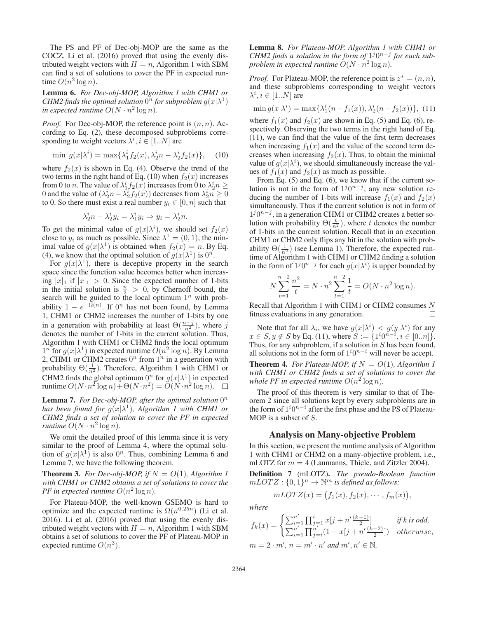The PS and PF of Dec-obj-MOP are the same as the COCZ. Li et al. (2016) proved that using the evenly distributed weight vectors with  $H = n$ , Algorithm 1 with SBM can find a set of solutions to cover the PF in expected runtime  $O(n^2 \log n)$ .

Lemma 6. *For Dec-obj-MOP, Algorithm 1 with CHM1 or CHM2 finds the optimal solution*  $0^n$  *for subproblem*  $g(x|\lambda^1)$ *in expected runtime*  $O(N \cdot n^2 \log n)$ *.* 

*Proof.* For Dec-obj-MOP, the reference point is  $(n, n)$ . According to Eq. (2), these decomposed subproblems corresponding to weight vectors  $\lambda^i, i \in [1..N]$  are

$$
\min g(x|\lambda^{i}) = \max\{\lambda_{1}^{i}f_{2}(x), \lambda_{2}^{i}n - \lambda_{2}^{i}f_{2}(x)\},\quad(10)
$$

where  $f_2(x)$  is shown in Eq. (4). Observe the trend of the two terms in the right hand of Eq. (10) when  $f_2(x)$  increases from 0 to *n*. The value of  $\lambda_1^i f_2(x)$  increases from 0 to  $\lambda_2^i n \geq$ 0 and the value of  $(\lambda_2^i n - \lambda_2^i f_2(x))$  decreases from  $\lambda_2^i n \ge 0$ to 0. So there must exist a real number  $y_i \in [0, n]$  such that

$$
\lambda_2^i n - \lambda_2^i y_i = \lambda_1^i y_i \Rightarrow y_i = \lambda_2^i n.
$$

To get the minimal value of  $g(x|\lambda^i)$ , we should set  $f_2(x)$ close to  $y_i$  as much as possible. Since  $\lambda^1 = (0, 1)$ , the minimal value of  $g(x|\lambda^1)$  is obtained when  $f_2(x) = n$ . By Eq. (4), we know that the optimal solution of  $g(x|\lambda^1)$  is  $0^n$ .

For  $g(x|\lambda^1)$ , there is deceptive property in the search space since the function value becomes better when increasing  $|x|_1$  if  $|x|_1 > 0$ . Since the expected number of 1-bits in the initial solution is  $\frac{n}{2} > 0$ , by Chernoff bound, the search will be guided to the local optimum  $1^n$  with probability  $1 - e^{-\Omega(n)}$ . If  $0^n$  has not been found, by Lemma 1, CHM1 or CHM2 increases the number of 1-bits by one in a generation with probability at least  $\Theta(\frac{n-j}{n^2})$ , where j denotes the number of 1-bits in the current solution. Thus, Algorithm 1 with CHM1 or CHM2 finds the local optimum  $1^n$  for  $g(x|\lambda^1)$  in expected runtime  $O(n^2 \log n)$ . By Lemma 2, CHM1 or CHM2 creates  $0^n$  from  $1^n$  in a generation with probability  $\Theta(\frac{1}{n^2})$ . Therefore, Algorithm 1 with CHM1 or CHM2 finds the global optimum  $0^n$  for  $g(x|\lambda^1)$  in expected runtime  $O(N \cdot n^2 \log n) + \Theta(N \cdot n^2) = O(N \cdot n^2 \log n)$ .

**Lemma 7.** *For Dec-obj-MOP, after the optimal solution*  $0^n$ *has been found for*  $g(x|\lambda^1)$ *, Algorithm 1 with CHM1 or CHM2 finds a set of solution to cover the PF in expected runtime*  $O(N \cdot n^2 \log n)$ .

We omit the detailed proof of this lemma since it is very similar to the proof of Lemma 4, where the optimal solution of  $g(x|\lambda^1)$  is also  $0^n$ . Thus, combining Lemma 6 and Lemma 7, we have the following theorem.

**Theorem 3.** *For Dec-obj-MOP, if*  $N = O(1)$ *, Algorithm 1 with CHM1 or CHM2 obtains a set of solutions to cover the PF in expected runtime*  $O(n^2 \log n)$ *.* 

For Plateau-MOP, the well-known GSEMO is hard to optimize and the expected runtime is  $\Omega(n^{0.25n})$  (Li et al. 2016). Li et al. (2016) proved that using the evenly distributed weight vectors with  $H = n$ , Algorithm 1 with SBM obtains a set of solutions to cover the PF of Plateau-MOP in expected runtime  $O(n^3)$ .

Lemma 8. *For Plateau-MOP, Algorithm 1 with CHM1 or CHM2 finds a solution in the form of*  $1<sup>j</sup>0<sup>n-j</sup>$  *for each subproblem in expected runtime*  $O(N \cdot n^2 \log n)$ *.* 

*Proof.* For Plateau-MOP, the reference point is  $z^* = (n, n)$ , and these subproblems corresponding to weight vectors  $\lambda^i, i \in [1..N]$  are

$$
\min g(x|\lambda^{i}) = \max \{ \lambda_1^{i} (n - f_1(x)), \lambda_2^{i} (n - f_2(x)) \},
$$
 (11)

where  $f_1(x)$  and  $f_2(x)$  are shown in Eq. (5) and Eq. (6), respectively. Observing the two terms in the right hand of Eq. (11), we can find that the value of the first term decreases when increasing  $f_1(x)$  and the value of the second term decreases when increasing  $f_2(x)$ . Thus, to obtain the minimal value of  $g(x|\lambda^i)$ , we should simultaneously increase the values of  $f_1(x)$  and  $f_2(x)$  as much as possible.

From Eq. (5) and Eq. (6), we know that if the current solution is not in the form of  $1^j0^{n-j}$ , any new solution reducing the number of 1-bits will increase  $f_1(x)$  and  $f_2(x)$ simultaneously. Thus if the current solution is not in form of  $1<sup>j</sup>0<sup>n-j</sup>$ , in a generation CHM1 or CHM2 creates a better solution with probability  $\Theta(\frac{t}{n^2})$ , where t denotes the number of 1-bits in the current solution. Recall that in an execution CHM1 or CHM2 only flips any bit in the solution with probability  $\Theta(\frac{1}{n^2})$  (see Lemma 1). Therefore, the expected runtime of Algorithm 1 with CHM1 or CHM2 finding a solution in the form of  $1^j0^{n-j}$  for each  $g(x|\lambda^i)$  is upper bounded by

$$
N\sum_{t=1}^{n-2} \frac{n^2}{t} = N \cdot n^2 \sum_{t=1}^{n-2} \frac{1}{t} = O(N \cdot n^2 \log n).
$$

Recall that Algorithm 1 with CHM1 or CHM2 consumes N fitness evaluations in any generation.  $\Box$ 

Note that for all  $\lambda_i$ , we have  $g(x|\lambda^i) < g(y|\lambda^i)$  for any  $x \in S, y \notin S$  by Eq. (11), where  $S := \{1^i 0^{n-i}, i \in [0..n]\}.$ Thus, for any subproblem, if a solution in S has been found, all solutions not in the form of  $1^{i}0^{n-i}$  will never be accept.

**Theorem 4.** For Plateau-MOP, if  $N = O(1)$ , Algorithm 1 *with CHM1 or CHM2 finds a set of solutions to cover the whole PF in expected runtime*  $O(n^2 \log n)$ *.* 

The proof of this theorem is very similar to that of Theorem 2 since all solutions kept by every subproblems are in the form of  $1^i 0^{n-i}$  after the first phase and the PS of Plateau-MOP is a subset of S.

### Analysis on Many-objective Problem

In this section, we present the runtime analysis of Algorithm 1 with CHM1 or CHM2 on a many-objective problem, i.e., mLOTZ for  $m = 4$  (Laumanns, Thiele, and Zitzler 2004).

Definition 7 (mLOTZ). *The pseudo-Boolean function*  $mLOTZ: \{0,1\}^n \rightarrow \mathbb{N}^m$  *is defined as follows:* 

$$
mLOTZ(x) = (f_1(x), f_2(x), \cdots, f_m(x)),
$$

*where*

$$
f_k(x) = \begin{cases} \sum_{i=1}^{n'} \prod_{j=1}^i x[j+n' \frac{(k-1)}{2}] & \text{if } k \text{ is odd,} \\ \sum_{i=1}^{n'} \prod_{j=i}^{n'} (1-x[j+n' \frac{(k-2)}{2}]) & \text{otherwise,} \end{cases}
$$
  

$$
m = 2 \cdot m', n = m' \cdot n' \text{ and } m', n' \in \mathbb{N}.
$$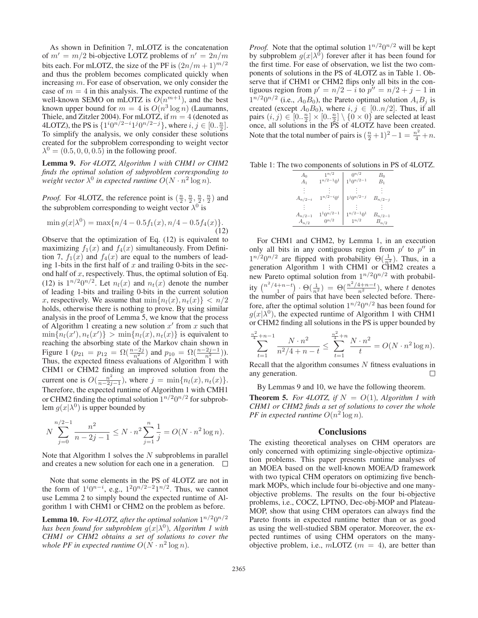As shown in Definition 7, mLOTZ is the concatenation of  $m' = m/2$  bi-objective LOTZ problems of  $n' = 2n/m$ bits each. For mLOTZ, the size of the PF is  $(2n/m+1)^{m/2}$ and thus the problem becomes complicated quickly when increasing m. For ease of observation, we only consider the case of  $m = 4$  in this analysis. The expected runtime of the well-known SEMO on mLOTZ is  $O(n^{m+1})$ , and the best known upper bound for  $m = 4$  is  $O(n^3 \log n)$  (Laumanns, Thiele, and Zitzler 2004). For mLOTZ, if  $m = 4$  (denoted as 4LOTZ), the PS is  $\{1^i 0^{n/2-i} 1^j 0^{n/2-j}\}$ , where  $i, j \in [0, \frac{n}{2}]$ . To simplify the analysis, we only consider these solutions created for the subproblem corresponding to weight vector  $\lambda^{0} = (0.5, 0, 0, 0.5)$  in the following proof.

Lemma 9. *For 4LOTZ, Algorithm 1 with CHM1 or CHM2 finds the optimal solution of subproblem corresponding to weight vector*  $\lambda^0$  *in expected runtime*  $O(N \cdot n^2 \log n)$ *.* 

*Proof.* For 4LOTZ, the reference point is  $(\frac{n}{2}, \frac{n}{2}, \frac{n}{2}, \frac{n}{2})$  and the subproblem corresponding to weight vector  $\lambda^0$  is

$$
\min g(x|\lambda^0) = \max\{n/4 - 0.5f_1(x), n/4 - 0.5f_4(x)\}.
$$
\n(12)

Observe that the optimization of Eq. (12) is equivalent to maximizing  $f_1(x)$  and  $f_4(x)$  simultaneously. From Definition 7,  $f_1(x)$  and  $f_4(x)$  are equal to the numbers of leading 1-bits in the first half of  $x$  and trailing 0-bits in the second half of  $x$ , respectively. Thus, the optimal solution of Eq. (12) is  $1^{n/2}0^{n/2}$ . Let  $n_l(x)$  and  $n_t(x)$  denote the number of leading 1-bits and trailing 0-bits in the current solution x, respectively. We assume that  $\min\{n_l(x), n_t(x)\} < n/2$ holds, otherwise there is nothing to prove. By using similar analysis in the proof of Lemma 5, we know that the process of Algorithm 1 creating a new solution  $x'$  from x such that  $\min\{n_l(x'), n_t(x')\} > \min\{n_l(x), n_t(x)\}$  is equivalent to reaching the absorbing state of the Markov chain shown in Figure 1 ( $p_{21} = p_{12} = \Omega(\frac{n-2j}{n^2})$  and  $p_{10} = \Omega(\frac{n-2j-1}{n^2})$ ). Thus, the expected fitness evaluations of Algorithm 1 with CHM1 or CHM2 finding an improved solution from the current one is  $O(\frac{n^2}{n-2j-1})$ , where  $j = \min\{n_l(x), n_t(x)\}$ .<br>Therefore, the expected runtime of Algorithm 1 with CMH1 or CHM2 finding the optimal solution  $1^{n/2}0^{n/2}$  for subproblem  $g(x|\lambda^0)$  is upper bounded by

$$
N\sum_{j=0}^{n/2-1} \frac{n^2}{n-2j-1} \le N \cdot n^2 \sum_{j=1}^{n} \frac{1}{j} = O(N \cdot n^2 \log n).
$$

Note that Algorithm 1 solves the  $N$  subproblems in parallel and creates a new solution for each one in a generation.  $\Box$ 

Note that some elements in the PS of 4LOTZ are not in the form of  $1^i0^{n-i}$ , e.g.,  $1^20^{n/2-2}1^{n/2}$ . Thus, we cannot use Lemma 2 to simply bound the expected runtime of Algorithm 1 with CHM1 or CHM2 on the problem as before.

**Lemma 10.** *For 4LOTZ, after the optimal solution*  $1^{n/2}0^{n/2}$ *has been found for subproblem*  $g(x|\lambda^0)$ *, Algorithm 1 with CHM1 or CHM2 obtains a set of solutions to cover the whole PF in expected runtime*  $O(N \cdot n^2 \log n)$ *.* 

*Proof.* Note that the optimal solution  $1^{n/2}0^{n/2}$  will be kept by subproblem  $g(x|\lambda^0)$  forever after it has been found for the first time. For ease of observation, we list the two components of solutions in the PS of 4LOTZ as in Table 1. Observe that if CHM1 or CHM2 flips only all bits in the contiguous region from  $p' = n/2 - i$  to  $p'' = n/2 + j - 1$  in  $1^{n/2}0^{n/2}$  (i.e.,  $A_0B_0$ ), the Pareto optimal solution  $A_iB_j$  is created (except  $A_0B_0$ ), where  $i, j \in [0..n/2]$ . Thus, if all pairs  $(i, j) \in [0..\frac{n}{2}] \times [0..\frac{n}{2}] \setminus \{0 \times 0\}$  are selected at least once, all solutions in the PS of 4LOTZ have been created. Note that the total number of pairs is  $(\frac{n}{2}+1)^2 - 1 = \frac{n^2}{4} + n$ .

Table 1: The two components of solutions in PS of 4LOTZ.

| A <sub>0</sub> | $1^{n/2}$                                    | $0^{n/2}$        | $B_0$       |
|----------------|----------------------------------------------|------------------|-------------|
| $A_1$          | $1^{n/2-1}0^1$                               | $1^10^{n/2-1}$   | $B_1$       |
|                | $1^{n/2-i}0^i$                               | $1^{j}0^{n/2-j}$ |             |
| $A_{n/2-i}$    |                                              |                  | $B_{n/2-j}$ |
| $A_{n/2-1}$    | $1^{\hspace{0.5pt}10^{n/2\hspace{0.5pt}-1}}$ | $1^{n/2-1}0^1$   | $B_{n/2-1}$ |
| $A_{n/2}$      | $0^{n/2}$                                    | $1^{n/2}$        | $B_{n/2}$   |

For CHM1 and CHM2, by Lemma 1, in an execution only all bits in any contiguous region from  $p'$  to  $p''$  in  $1^{n/2}0^{n/2}$  are flipped with probability  $\Theta(\frac{1}{n^2})$ . Thus, in a generation Algorithm 1 with CHM1 or CHM2 creates a new Pareto optimal solution from  $1^{n/2}0^{n/2}$  with probability  $\binom{n^2/4+n-t}{1} \cdot \Theta(\frac{1}{n^2}) = \Theta(\frac{n^2/4+n-t}{n^2})$ , where t denotes the number of pairs that have been selected before. Therefore, after the optimal solution  $1^{n/2}0^{n/2}$  has been found for  $g(x|\lambda^0)$ , the expected runtime of Algorithm 1 with CHM1 or CHM2 finding all solutions in the PS is upper bounded by

$$
\sum_{t=1}^{\frac{n^2}{4}+n-1} \frac{N \cdot n^2}{n^2/4+n-t} \le \sum_{t=1}^{\frac{n^2}{4}+n} \frac{N \cdot n^2}{t} = O(N \cdot n^2 \log n).
$$

Recall that the algorithm consumes  $N$  fitness evaluations in any generation. П

By Lemmas 9 and 10, we have the following theorem.

**Theorem 5.** For 4LOTZ, if  $N = O(1)$ , Algorithm 1 with *CHM1 or CHM2 finds a set of solutions to cover the whole PF in expected runtime*  $O(n^2 \log n)$ *.* 

#### **Conclusions**

The existing theoretical analyses on CHM operators are only concerned with optimizing single-objective optimization problems. This paper presents runtime analyses of an MOEA based on the well-known MOEA/D framework with two typical CHM operators on optimizing five benchmark MOPs, which include four bi-objective and one manyobjective problems. The results on the four bi-objective problems, i.e., COCZ, LPTNO, Dec-obj-MOP and Plateau-MOP, show that using CHM operators can always find the Pareto fronts in expected runtime better than or as good as using the well-studied SBM operator. Moreover, the expected runtimes of using CHM operators on the manyobjective problem, i.e.,  $m$ LOTZ ( $m = 4$ ), are better than